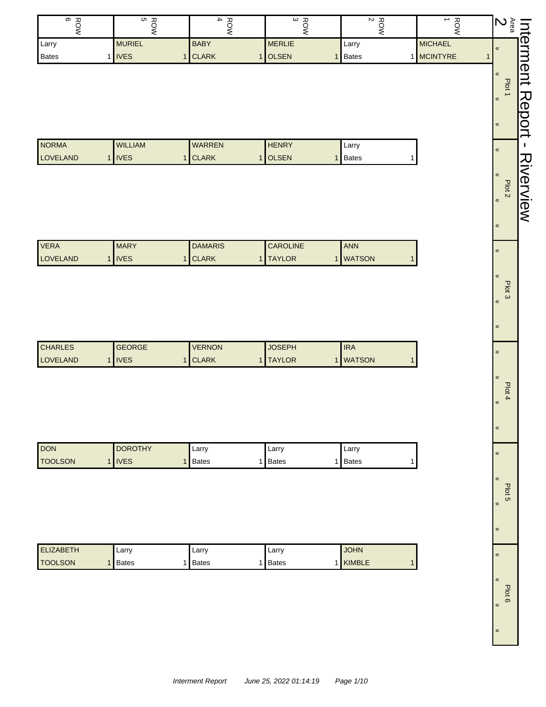| ROW<br>BOW               | ROW<br>5       | $\frac{1}{4}$             | $\frac{ROW}{3}$               | $\begin{array}{c}\n\text{Row} \\ 2\n\end{array}$ | $\frac{1}{1}$   | $\sum_{\alpha \in \mathfrak{a}}$    |                  |
|--------------------------|----------------|---------------------------|-------------------------------|--------------------------------------------------|-----------------|-------------------------------------|------------------|
| Larry                    | <b>MURIEL</b>  | <b>BABY</b>               | <b>MERLIE</b>                 | Larry                                            | <b>MICHAEL</b>  | $\pmb{\kappa}$                      |                  |
| <b>Bates</b><br>1        | <b>IVES</b>    | 1 CLARK                   | 1 OLSEN<br>1                  | <b>Bates</b>                                     | 1 MCINTYRE<br>1 |                                     |                  |
|                          |                |                           |                               |                                                  |                 | «<br>Plot 1                         | Interment Report |
|                          |                |                           |                               |                                                  |                 | $\pmb{\kappa}$                      |                  |
|                          |                |                           |                               |                                                  |                 | $\pmb{\%}$                          |                  |
|                          |                |                           |                               |                                                  |                 |                                     |                  |
| <b>NORMA</b><br>LOVELAND | <b>WILLIAM</b> | WARREN                    | <b>HENRY</b><br><b>OLSEN</b>  | Larry                                            |                 | $\pmb{\kappa}$                      |                  |
|                          | 1 IVES         | 1 CLARK<br>$\mathbf{1}$   | $\mathbf{1}$                  | Bates<br>1                                       |                 |                                     |                  |
|                          |                |                           |                               |                                                  |                 | «                                   |                  |
|                          |                |                           |                               |                                                  |                 | Plot <sub>2</sub><br>$\pmb{\kappa}$ | <b>Aiverview</b> |
|                          |                |                           |                               |                                                  |                 |                                     |                  |
|                          |                |                           |                               |                                                  |                 | $\pmb{\kappa}$                      |                  |
| <b>VERA</b>              | <b>MARY</b>    | <b>DAMARIS</b>            | CAROLINE                      | ANN                                              |                 |                                     |                  |
| LOVELAND                 | 1 IVES         | 1 CLARK<br>$\mathbf{1}$   | <b>TAYLOR</b><br>$\mathbf{1}$ | <b>WATSON</b><br>$\mathbf 1$                     |                 | $\pmb{\kappa}$                      |                  |
|                          |                |                           |                               |                                                  |                 | $\overline{\mathbf{K}}$             |                  |
|                          |                |                           |                               |                                                  |                 | Plot 3                              |                  |
|                          |                |                           |                               |                                                  |                 | $\pmb{\kappa}$                      |                  |
|                          |                |                           |                               |                                                  |                 |                                     |                  |
|                          |                |                           |                               |                                                  |                 | $\pmb{\kappa}$                      |                  |
| <b>CHARLES</b>           | <b>GEORGE</b>  | <b>VERNON</b>             | <b>JOSEPH</b>                 | <b>IRA</b>                                       |                 | $\pmb{\mathcal{R}}$                 |                  |
| LOVELAND                 | 1 IVES         | 1 CLARK<br>1 <sup>1</sup> | <b>TAYLOR</b><br>$\mathbf{1}$ | <b>WATSON</b><br>1                               |                 |                                     |                  |
|                          |                |                           |                               |                                                  |                 | «                                   |                  |
|                          |                |                           |                               |                                                  |                 | Plot 4                              |                  |
|                          |                |                           |                               |                                                  |                 | «                                   |                  |
|                          |                |                           |                               |                                                  |                 |                                     |                  |
|                          |                |                           |                               |                                                  |                 | $\pmb{\kappa}$                      |                  |
| <b>DON</b>               | <b>DOROTHY</b> | Larry                     | Larry                         | Larry                                            |                 | $\pmb{\mathsf{M}}$                  |                  |
| <b>TOOLSON</b>           | 1 IVES         | 1 Bates                   | 1 Bates<br>1                  | Bates<br>1                                       |                 |                                     |                  |
|                          |                |                           |                               |                                                  |                 | $\pmb{\kappa}$                      |                  |

Plot 5

«

«

«

«

«

Plot 6 «

| <b>ELIZABETH</b> | ∟arrv        | ∟arr∨        | Larr <sup>1</sup> | <b>JOHN</b> |
|------------------|--------------|--------------|-------------------|-------------|
| <b>I</b> TOOLSON | <b>Bates</b> | <b>Bates</b> | <b>Bates</b>      | KIMBLE      |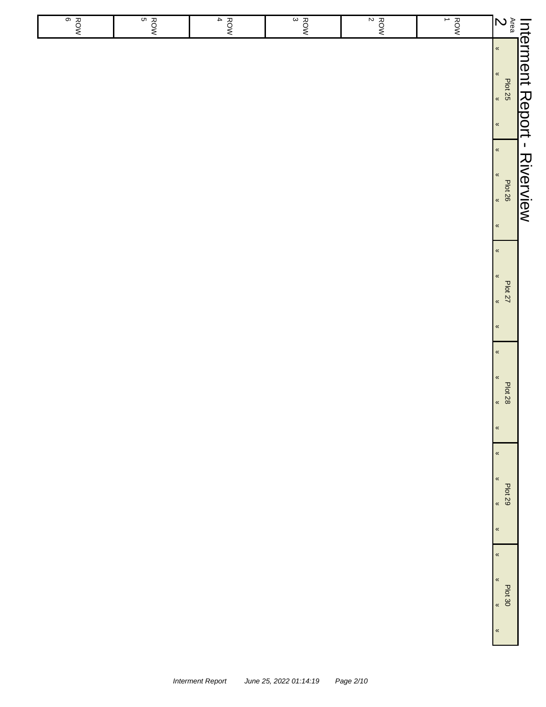| $rac{8}{6}$ | $rac{1}{5}$ | $\overline{4}$<br>ROW | $rac{8}{3}$ | $\frac{RON}{2}$ | $rac{1}{2}$ | $\sum_{\alpha}^{\infty}$                                                          |                                      |
|-------------|-------------|-----------------------|-------------|-----------------|-------------|-----------------------------------------------------------------------------------|--------------------------------------|
|             |             |                       |             |                 |             | $\langle \langle$<br>$\pmb{\alpha}$<br>Plat 25<br>$\langle\!\langle$              | Int <u>erment Report - Riverview</u> |
|             |             |                       |             |                 |             | $\pmb{\alpha}$<br>$\langle \langle$<br>endt 26<br>Wat 26<br>$\pmb{\kappa}$        |                                      |
|             |             |                       |             |                 |             | $\pmb{\kappa}$<br>$\pmb{\kappa}$<br>Plot 27<br>$\pmb{\alpha}$<br>$\pmb{\kappa}$   |                                      |
|             |             |                       |             |                 |             | $\pmb{\kappa}$<br>$\pmb{\kappa}$<br><b>Plot 28</b><br>$\langle$<br>$\pmb{\kappa}$ |                                      |
|             |             |                       |             |                 |             | $\pmb{\kappa}$<br>$\pmb{\%}$<br>Plot 29<br>$\alpha$<br>$\pmb{\kappa}$             |                                      |
|             |             |                       |             |                 |             | $\pmb{\kappa}$<br>$\pmb{\%}$<br>Plot 30<br>$\langle$<br>$\pmb{\kappa}$            |                                      |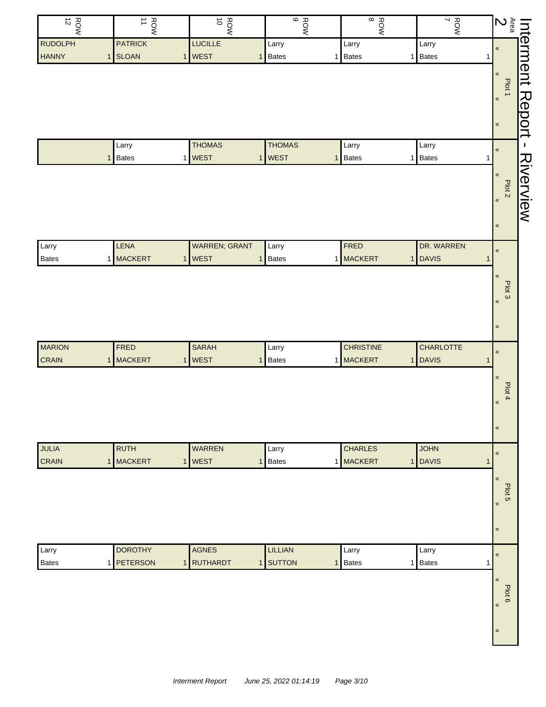| $\frac{ROW}{12}$ | ROW<br>1       | ROW<br>10            | $\frac{1}{9}$     | $\infty$<br>ROW         | $\frac{ROW}{7}$                | <b>Interment</b><br>Area<br><b>2</b><br><b>2</b><br><b>1</b><br><b>1</b><br><b>1</b> |           |
|------------------|----------------|----------------------|-------------------|-------------------------|--------------------------------|--------------------------------------------------------------------------------------|-----------|
| <b>RUDOLPH</b>   | <b>PATRICK</b> | <b>LUCILLE</b>       | Larry             | Larry                   | Larry                          |                                                                                      |           |
| <b>HANNY</b>     | 1 SLOAN        | 1 WEST               | <b>Bates</b><br>1 | Bates<br>1 <sup>1</sup> | 1 Bates                        | 1                                                                                    |           |
|                  |                |                      |                   |                         |                                |                                                                                      |           |
|                  |                |                      |                   |                         |                                | Plot 1                                                                               |           |
|                  |                |                      |                   |                         |                                | $\pmb{\kappa}$                                                                       |           |
|                  |                |                      |                   |                         |                                |                                                                                      |           |
|                  |                |                      |                   |                         |                                | $\pmb{\kappa}$                                                                       | Report    |
|                  | Larry          | <b>THOMAS</b>        | <b>THOMAS</b>     | Larry                   | Larry                          | $\pmb{\kappa}$                                                                       | J.        |
|                  | <b>Bates</b>   | 1 WEST               | 1   WEST          | Bates<br>$\mathbf{1}$   | Bates<br>1 I                   | 1                                                                                    |           |
|                  |                |                      |                   |                         |                                | $\pmb{\ll}$                                                                          |           |
|                  |                |                      |                   |                         |                                | Plot 2                                                                               |           |
|                  |                |                      |                   |                         |                                | $\pmb{\kappa}$                                                                       | Riverview |
|                  |                |                      |                   |                         |                                |                                                                                      |           |
|                  |                |                      |                   |                         |                                | $\pmb{\kappa}$                                                                       |           |
| Larry            | LENA           | <b>WARREN; GRANT</b> | Larry             | FRED                    | DR. WARREN                     |                                                                                      |           |
| <b>Bates</b>     | 1 MACKERT      | 1 WEST               | <b>Bates</b><br>1 | 1 MACKERT               | 1 DAVIS                        | $\pmb{\kappa}$<br>$\mathbf{1}$                                                       |           |
|                  |                |                      |                   |                         |                                |                                                                                      |           |
|                  |                |                      |                   |                         |                                | $\,\alpha$                                                                           |           |
|                  |                |                      |                   |                         |                                | Plot 3<br>$\pmb{\kappa}$                                                             |           |
|                  |                |                      |                   |                         |                                |                                                                                      |           |
|                  |                |                      |                   |                         |                                | $\pmb{\ll}$                                                                          |           |
|                  |                |                      |                   |                         |                                |                                                                                      |           |
| <b>MARION</b>    | FRED           | <b>SARAH</b>         | Larry             | <b>CHRISTINE</b>        | <b>CHARLOTTE</b>               | $\pmb{\kappa}$                                                                       |           |
| <b>CRAIN</b>     | 1 MACKERT      | 1 WEST               | Bates<br>1        | 1 MACKERT               | <b>DAVIS</b><br>1 <sup>1</sup> | 1                                                                                    |           |
|                  |                |                      |                   |                         |                                | $\pmb{\ll}$                                                                          |           |
|                  |                |                      |                   |                         |                                | Plot 4                                                                               |           |
|                  |                |                      |                   |                         |                                | $\pmb{\mathfrak{C}}$                                                                 |           |
|                  |                |                      |                   |                         |                                |                                                                                      |           |
|                  |                |                      |                   |                         |                                | $\pmb{\kappa}$                                                                       |           |
| <b>JULIA</b>     | <b>RUTH</b>    | <b>WARREN</b>        | Larry             | <b>CHARLES</b>          | <b>JOHN</b>                    |                                                                                      |           |
| <b>CRAIN</b>     | 1 MACKERT      | 1 WEST               | <b>Bates</b><br>1 | 1 MACKERT               | 1 DAVIS                        | $\pmb{\mathfrak{C}}$<br>$\mathbf{1}$                                                 |           |
|                  |                |                      |                   |                         |                                | $\pmb{\mathfrak{C}}$                                                                 |           |
|                  |                |                      |                   |                         |                                |                                                                                      |           |
|                  |                |                      |                   |                         |                                | Plot 5<br>$\pmb{\langle} \pmb{\langle}$                                              |           |
|                  |                |                      |                   |                         |                                |                                                                                      |           |
|                  |                |                      |                   |                         |                                | $\pmb{\kappa}$                                                                       |           |
|                  |                |                      |                   |                         |                                |                                                                                      |           |
| Larry            | <b>DOROTHY</b> | <b>AGNES</b>         | <b>LILLIAN</b>    | Larry                   | Larry                          | $\pmb{\kappa}$                                                                       |           |
| <b>Bates</b>     | 1 PETERSON     | 1 RUTHARDT           | 1 SUTTON          | Bates<br>1              | <b>Bates</b><br>1              | $\mathbf{1}$                                                                         |           |
|                  |                |                      |                   |                         |                                | $\pmb{\mathfrak{C}}$                                                                 |           |
|                  |                |                      |                   |                         |                                | Plot 6                                                                               |           |
|                  |                |                      |                   |                         |                                | $\langle \langle$                                                                    |           |
|                  |                |                      |                   |                         |                                |                                                                                      |           |
|                  |                |                      |                   |                         |                                | $\pmb{\ll}$                                                                          |           |
|                  |                |                      |                   |                         |                                |                                                                                      |           |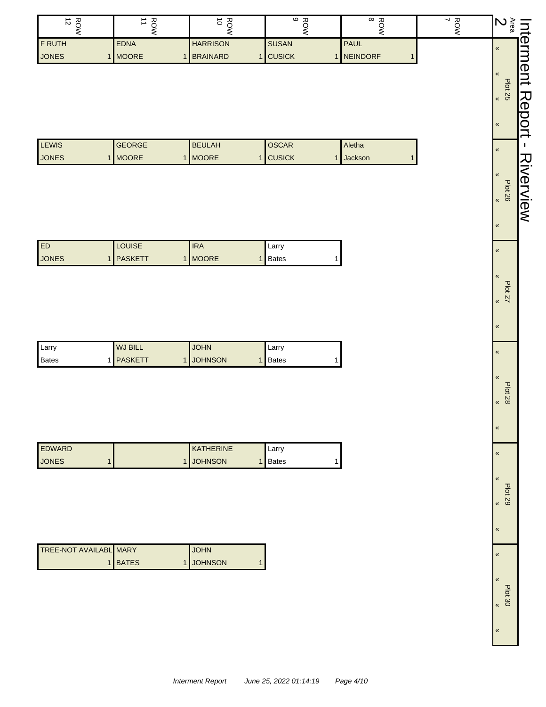| ∸<br>$\sim$    | ∸             | ∸<br>⌒<br>ີ     | 고<br>ဖ        | 고<br>$\infty$    | ヽ ズ |  |
|----------------|---------------|-----------------|---------------|------------------|-----|--|
| <b>IF RUTH</b> | <b>EDNA</b>   | <b>HARRISON</b> | <b>SUSAN</b>  | <b>PAUL</b>      |     |  |
| <b>JONES</b>   | <b>IMOORE</b> | <b>BRAINARD</b> | <b>CUSICK</b> | <b>INEINDORF</b> |     |  |

| LEWIS        | <b>GEORGE</b> | <b>BEULAH</b> | <b>OSCAR</b>  | Aletha         |
|--------------|---------------|---------------|---------------|----------------|
| <b>JONES</b> | <b>MOORE</b>  | <b>MOORE</b>  | <b>CUSICK</b> | <b>Jackson</b> |

| ED           | <b>LOUISE</b>  | <b>IRA</b>    | Larry |
|--------------|----------------|---------------|-------|
| <b>JONES</b> | <b>PASKETT</b> | <b>IMOORE</b> | Bates |

| Larry | <b>WJ BILL</b>   | <b>JOHN</b>      | Larry   |
|-------|------------------|------------------|---------|
| Bates | 1 <b>PASKETT</b> | <b>I JOHNSON</b> | 1 Bates |

| <b>EDWARD</b> | <b>KATHERINE</b> | Larry   |
|---------------|------------------|---------|
| <b>JONES</b>  | <b>JOHNSON</b>   | l Bates |

| <b>TREE-NOT AVAILABL MARY</b> |         | <b>JOHN</b> |  |
|-------------------------------|---------|-------------|--|
|                               | 1 BATES | 1 JOHNSON   |  |

| <b>Area</b><br><b>Plot 25</b><br>Plot 26<br><b>Plot 27</b><br>Plot 28 | Ć |
|-----------------------------------------------------------------------|---|
|                                                                       |   |
|                                                                       |   |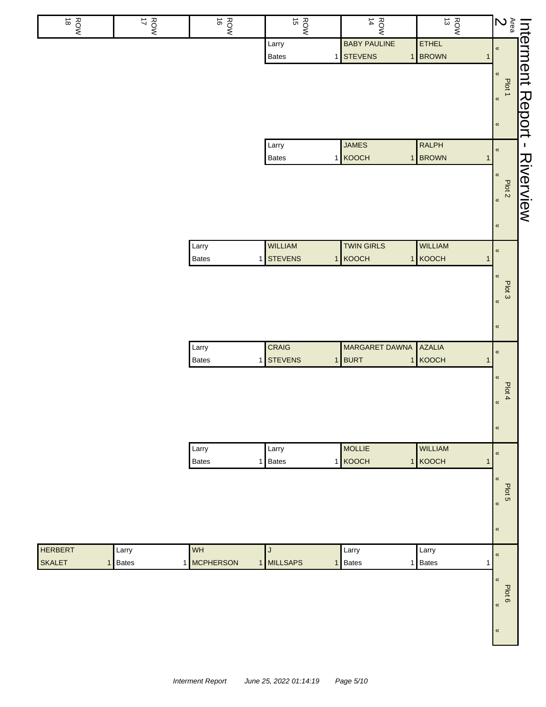| $\stackrel{\rightharpoonup }{\circ}$<br>ROW | ROW<br>NOW | $\vec{\circ}$<br>ROW  | ROW<br>15                    | $\frac{ROW}{14}$                 | $\vec{\omega}$<br>ROW                   | $\sum\limits_{\underline{\alpha}}^{\infty}$ |           |
|---------------------------------------------|------------|-----------------------|------------------------------|----------------------------------|-----------------------------------------|---------------------------------------------|-----------|
|                                             |            |                       | Larry<br><b>Bates</b>        | <b>BABY PAULINE</b><br>1 STEVENS | ETHEL<br>1 BROWN<br>$\mathbf{1}$        | $\pmb{\mathfrak{C}}$                        | Interment |
|                                             |            |                       |                              |                                  |                                         | «                                           |           |
|                                             |            |                       |                              |                                  |                                         | Plot 1<br>$\pmb{\kappa}$                    |           |
|                                             |            |                       |                              |                                  |                                         |                                             | Report    |
|                                             |            |                       |                              |                                  |                                         | $\pmb{\kappa}$                              |           |
|                                             |            |                       | Larry<br>Bates               | <b>JAMES</b><br>1 KOOCH          | <b>RALPH</b><br>1 BROWN<br>$\mathbf{1}$ | $\pmb{\mathfrak{C}}$                        | J.        |
|                                             |            |                       |                              |                                  |                                         | $\pmb{\mathfrak{C}}$                        |           |
|                                             |            |                       |                              |                                  |                                         | Plot <sub>2</sub><br>$\pmb{\kappa}$         | Riverview |
|                                             |            |                       |                              |                                  |                                         | $\pmb{\mathfrak{C}}$                        |           |
|                                             |            | Larry                 | WILLIAM                      | <b>TWIN GIRLS</b>                | <b>WILLIAM</b>                          |                                             |           |
|                                             |            | Bates                 | 1 STEVENS                    | 1 KOOCH                          | 1 KOOCH<br>$\mathbf{1}$                 | $\pmb{\mathfrak{C}}$                        |           |
|                                             |            |                       |                              |                                  |                                         | $\pmb{\langle} \pmb{\langle}$               |           |
|                                             |            |                       |                              |                                  |                                         | Plot 3<br>$\pmb{\kappa}$                    |           |
|                                             |            |                       |                              |                                  |                                         | $\pmb{\kappa}$                              |           |
|                                             |            | Larry                 | CRAIG                        | MARGARET DAWNA                   | <b>AZALIA</b>                           |                                             |           |
|                                             |            | Bates<br>$\mathbf{1}$ | <b>STEVENS</b>               | 1 BURT                           | 1 KOOCH<br>$\mathbf{1}$                 | $\pmb{\mathfrak{C}}$                        |           |
|                                             |            |                       |                              |                                  |                                         | $\pmb{\mathfrak{C}}$                        |           |
|                                             |            |                       |                              |                                  |                                         | Plot 4<br>$\pmb{\kappa}$                    |           |
|                                             |            |                       |                              |                                  |                                         | $\pmb{\mathfrak{C}}$                        |           |
|                                             |            | Larry                 | Larry                        | <b>MOLLIE</b>                    | <b>WILLIAM</b>                          | $\pmb{\kappa}$                              |           |
|                                             |            | <b>Bates</b>          | 1 Bates                      | 1 KOOCH                          | 1 KOOCH<br>$\mathbf{1}$                 |                                             |           |
|                                             |            |                       |                              |                                  |                                         | $\pmb{\ll}$<br>Plot 5                       |           |
|                                             |            |                       |                              |                                  |                                         | $\pmb{\kappa}$                              |           |
|                                             |            |                       |                              |                                  |                                         | $\pmb{\kappa}$                              |           |
| <b>HERBERT</b>                              | Larry      | WH                    | J                            | Larry                            | Larry                                   | $\pmb{\mathfrak{C}}$                        |           |
| <b>SKALET</b><br>$\mathbf{1}$               | Bates      | 1 MCPHERSON           | 1 MILLSAPS<br>1 <sup>1</sup> | Bates                            | 1 Bates<br>1                            |                                             |           |
|                                             |            |                       |                              |                                  |                                         | «<br>Plot 6                                 |           |
|                                             |            |                       |                              |                                  |                                         | $\pmb{\kappa}$                              |           |
|                                             |            |                       |                              |                                  |                                         | $\pmb{\kappa}$                              |           |
|                                             |            |                       |                              |                                  |                                         |                                             |           |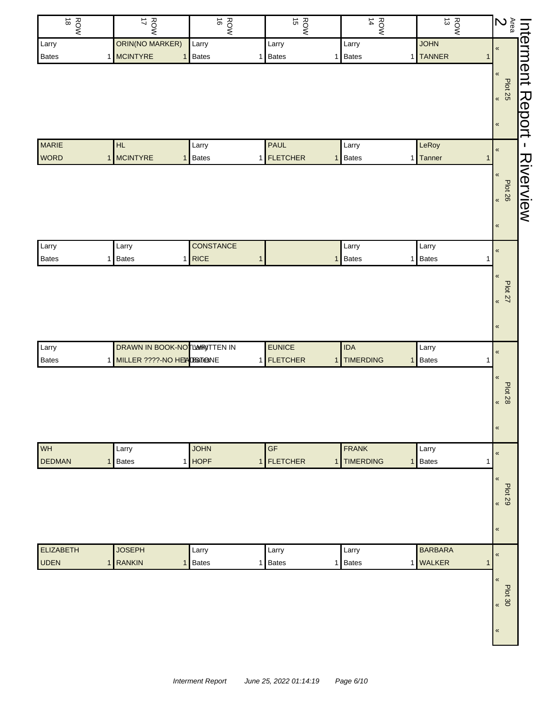| ORIN(NO MARKER)<br><b>JOHN</b><br>Larry<br>Larry<br>Larry<br>Larry<br>1 MCINTYRE<br>1 TANNER<br>1 Bates<br>Bates<br>Bates<br>Bates<br>1 <sup>1</sup><br>1<br>1<br><b>MARIE</b><br><b>PAUL</b><br>LeRoy<br>HL<br>Larry<br>Larry<br><b>WORD</b><br><b>MCINTYRE</b><br>1 FLETCHER<br>1 Bates<br>Bates<br>Tanner<br>$\mathbf{1}$<br>$\mathbf{1}$<br>$\mathbf{1}$<br>11<br>CONSTANCE<br>Larry<br>Larry<br>Larry<br>Larry<br>$1$ RICE<br>Bates<br><b>Bates</b><br><b>Bates</b><br><b>Bates</b><br>1<br>$\mathbf{1}$<br>1<br>1  <br>1 | <b>Interment</b><br>Area <b>Allent</b><br>Plot 25<br>$\pmb{\kappa}$<br>$\pmb{\kappa}$<br>$\pmb{\ll}$<br><b>Plot 26</b><br>$\pmb{\kappa}$ |
|--------------------------------------------------------------------------------------------------------------------------------------------------------------------------------------------------------------------------------------------------------------------------------------------------------------------------------------------------------------------------------------------------------------------------------------------------------------------------------------------------------------------------------|------------------------------------------------------------------------------------------------------------------------------------------|
|                                                                                                                                                                                                                                                                                                                                                                                                                                                                                                                                |                                                                                                                                          |
|                                                                                                                                                                                                                                                                                                                                                                                                                                                                                                                                |                                                                                                                                          |
|                                                                                                                                                                                                                                                                                                                                                                                                                                                                                                                                |                                                                                                                                          |
|                                                                                                                                                                                                                                                                                                                                                                                                                                                                                                                                |                                                                                                                                          |
|                                                                                                                                                                                                                                                                                                                                                                                                                                                                                                                                |                                                                                                                                          |
|                                                                                                                                                                                                                                                                                                                                                                                                                                                                                                                                |                                                                                                                                          |
|                                                                                                                                                                                                                                                                                                                                                                                                                                                                                                                                |                                                                                                                                          |
|                                                                                                                                                                                                                                                                                                                                                                                                                                                                                                                                |                                                                                                                                          |
|                                                                                                                                                                                                                                                                                                                                                                                                                                                                                                                                |                                                                                                                                          |
|                                                                                                                                                                                                                                                                                                                                                                                                                                                                                                                                |                                                                                                                                          |
|                                                                                                                                                                                                                                                                                                                                                                                                                                                                                                                                |                                                                                                                                          |
|                                                                                                                                                                                                                                                                                                                                                                                                                                                                                                                                |                                                                                                                                          |
|                                                                                                                                                                                                                                                                                                                                                                                                                                                                                                                                |                                                                                                                                          |
|                                                                                                                                                                                                                                                                                                                                                                                                                                                                                                                                |                                                                                                                                          |
|                                                                                                                                                                                                                                                                                                                                                                                                                                                                                                                                | $\pmb{\kappa}$                                                                                                                           |
|                                                                                                                                                                                                                                                                                                                                                                                                                                                                                                                                |                                                                                                                                          |
|                                                                                                                                                                                                                                                                                                                                                                                                                                                                                                                                | $\pmb{\ll}$                                                                                                                              |
|                                                                                                                                                                                                                                                                                                                                                                                                                                                                                                                                |                                                                                                                                          |
|                                                                                                                                                                                                                                                                                                                                                                                                                                                                                                                                | <b>Plot 27</b><br>$\pmb{\kappa}$                                                                                                         |
|                                                                                                                                                                                                                                                                                                                                                                                                                                                                                                                                |                                                                                                                                          |
|                                                                                                                                                                                                                                                                                                                                                                                                                                                                                                                                | $\pmb{\kappa}$                                                                                                                           |
|                                                                                                                                                                                                                                                                                                                                                                                                                                                                                                                                |                                                                                                                                          |
| <b>DRAWN IN BOOK-NOTLAWRITTEN IN</b><br><b>EUNICE</b><br><b>IDA</b><br>Larry<br>Larry                                                                                                                                                                                                                                                                                                                                                                                                                                          | $\pmb{\kappa}$                                                                                                                           |
| 1 MILLER ????-NO HEADBGT@NE<br>1 FLETCHER<br><b>TIMERDING</b><br>Bates<br>Bates<br>$\mathbf{1}$<br>1 <sup>1</sup><br>1                                                                                                                                                                                                                                                                                                                                                                                                         |                                                                                                                                          |
|                                                                                                                                                                                                                                                                                                                                                                                                                                                                                                                                | $\pmb{\ll}$                                                                                                                              |
|                                                                                                                                                                                                                                                                                                                                                                                                                                                                                                                                | <b>Plot 28</b>                                                                                                                           |
|                                                                                                                                                                                                                                                                                                                                                                                                                                                                                                                                | $\pmb{\langle}$                                                                                                                          |
|                                                                                                                                                                                                                                                                                                                                                                                                                                                                                                                                |                                                                                                                                          |
|                                                                                                                                                                                                                                                                                                                                                                                                                                                                                                                                | $\pmb{\kappa}$                                                                                                                           |
| WH<br>$\overline{\mathsf{GF}}$<br><b>JOHN</b><br><b>FRANK</b><br>Larry<br>Larry                                                                                                                                                                                                                                                                                                                                                                                                                                                |                                                                                                                                          |
| <b>DEDMAN</b><br>1 HOPF<br><b>FLETCHER</b><br><b>TIMERDING</b><br><b>Bates</b><br><b>Bates</b><br>1 <sup>1</sup><br>1<br>$\mathbf{1}$<br>1<br>1                                                                                                                                                                                                                                                                                                                                                                                | $\pmb{\ll}$                                                                                                                              |
|                                                                                                                                                                                                                                                                                                                                                                                                                                                                                                                                | $\pmb{\kappa}$                                                                                                                           |
|                                                                                                                                                                                                                                                                                                                                                                                                                                                                                                                                |                                                                                                                                          |
|                                                                                                                                                                                                                                                                                                                                                                                                                                                                                                                                | <b>Plot 29</b><br>$\pmb{\kappa}$                                                                                                         |
|                                                                                                                                                                                                                                                                                                                                                                                                                                                                                                                                |                                                                                                                                          |
|                                                                                                                                                                                                                                                                                                                                                                                                                                                                                                                                | $\pmb{\kappa}$                                                                                                                           |
|                                                                                                                                                                                                                                                                                                                                                                                                                                                                                                                                |                                                                                                                                          |
| <b>ELIZABETH</b><br><b>JOSEPH</b><br><b>BARBARA</b><br>Larry<br>Larry<br>Larry                                                                                                                                                                                                                                                                                                                                                                                                                                                 | $\pmb{\kappa}$                                                                                                                           |
| <b>UDEN</b><br><b>RANKIN</b><br>1 WALKER<br>Bates<br>Bates<br><b>Bates</b><br>$\mathbf{1}$<br>$\mathbf{1}$<br>1 <sup>1</sup><br>1.<br>1                                                                                                                                                                                                                                                                                                                                                                                        |                                                                                                                                          |
|                                                                                                                                                                                                                                                                                                                                                                                                                                                                                                                                | $\pmb{\mathfrak{C}}$                                                                                                                     |
|                                                                                                                                                                                                                                                                                                                                                                                                                                                                                                                                |                                                                                                                                          |
|                                                                                                                                                                                                                                                                                                                                                                                                                                                                                                                                | Plot 30<br>$\pmb{\kappa}$                                                                                                                |
|                                                                                                                                                                                                                                                                                                                                                                                                                                                                                                                                |                                                                                                                                          |
|                                                                                                                                                                                                                                                                                                                                                                                                                                                                                                                                |                                                                                                                                          |
|                                                                                                                                                                                                                                                                                                                                                                                                                                                                                                                                | $\pmb{\kappa}$                                                                                                                           |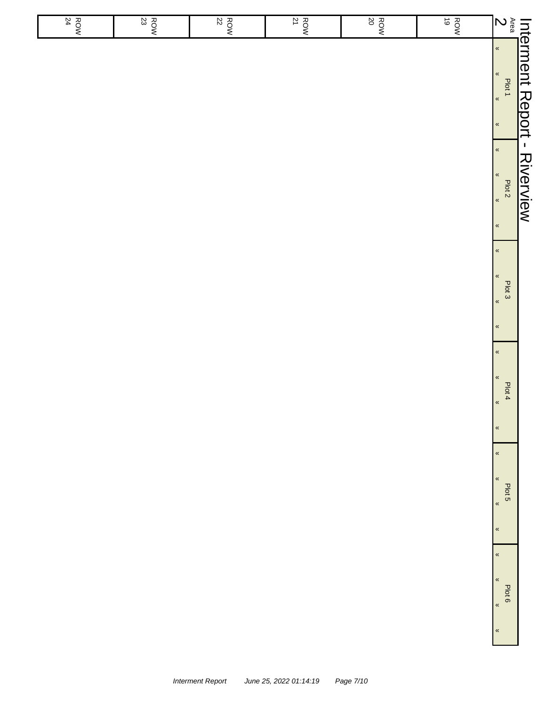|                                                              | ROW<br>ROW | $\frac{ROW}{20}$ |  | $\frac{1}{2}$<br>$rac{8}{22}$<br>$\frac{ROW}{21}$ |
|--------------------------------------------------------------|------------|------------------|--|---------------------------------------------------|
|                                                              |            |                  |  |                                                   |
| $\pmb{\kappa}$<br>$\pmb{\kappa}$                             |            |                  |  |                                                   |
| $\pmb{\kappa}$<br>Plot 3<br>$\pmb{\kappa}$<br>$\pmb{\kappa}$ |            |                  |  |                                                   |
| $\pmb{\kappa}$<br>$\pmb{\kappa}$                             |            |                  |  |                                                   |
| Plot 4<br>$\pmb{\alpha}$<br>$\pmb{\kappa}$                   |            |                  |  |                                                   |
| $\pmb{\kappa}$<br>$\pmb{\kappa}$                             |            |                  |  |                                                   |
| Plot 5<br>$\pmb{\kappa}$<br>$\pmb{\kappa}$                   |            |                  |  |                                                   |
| $\pmb{\kappa}$<br>$\pmb{\kappa}$<br>Plot 6                   |            |                  |  |                                                   |
| $\pmb{\kappa}$<br>$\pmb{\kappa}$                             |            |                  |  |                                                   |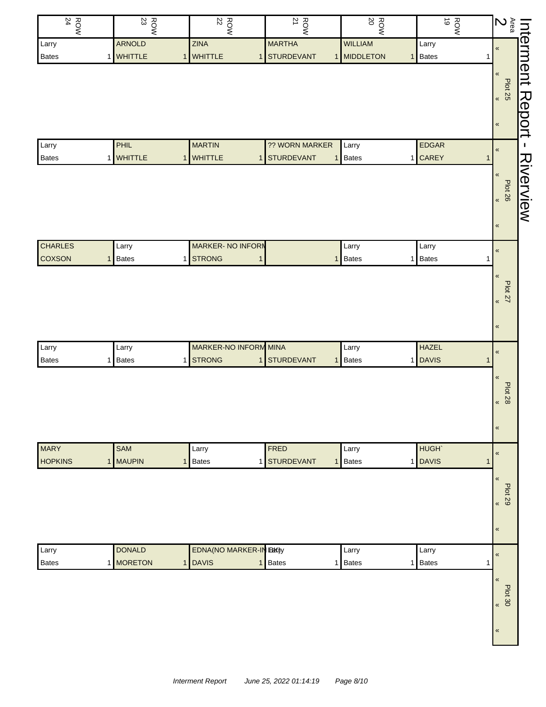| $\frac{ROW}{24}$ | $\frac{ROW}{23}$  | $\frac{ROW}{22}$              | $\frac{ROW}{21}$           | $20\,$<br>ROW           | ROW<br>NOR        | $\begin{array}{c c c c} \text{Intermed} & & \text{in} \\ \hline \text{Area} & & \text{in} \\ 2 & \text{set} \end{array}$ |
|------------------|-------------------|-------------------------------|----------------------------|-------------------------|-------------------|--------------------------------------------------------------------------------------------------------------------------|
| Larry            | <b>ARNOLD</b>     | <b>ZINA</b>                   | <b>MARTHA</b>              | <b>WILLIAM</b>          | Larry             |                                                                                                                          |
| Bates            | 1 WHITTLE         | 1 WHITTLE                     | STURDEVANT<br>$\mathbf{1}$ | 1 MIDDLETON             | 1 Bates           | 1                                                                                                                        |
|                  |                   |                               |                            |                         |                   |                                                                                                                          |
|                  |                   |                               |                            |                         |                   | <b>Plot 25</b>                                                                                                           |
|                  |                   |                               |                            |                         |                   | Report<br>$\pmb{\alpha}$                                                                                                 |
|                  |                   |                               |                            |                         |                   |                                                                                                                          |
|                  |                   |                               |                            |                         |                   | $\pmb{\ll}$                                                                                                              |
| Larry            | PHIL              | <b>MARTIN</b>                 | ?? WORN MARKER             | Larry                   | <b>EDGAR</b>      |                                                                                                                          |
| Bates            | 1 WHITTLE         | 1 WHITTLE                     | 1 STURDEVANT               | Bates<br>1 <sup>1</sup> | 1 CAREY           | $\pmb{\mathfrak{C}}$<br>$\mathbf{1}$                                                                                     |
|                  |                   |                               |                            |                         |                   | Riverview                                                                                                                |
|                  |                   |                               |                            |                         |                   | $\pmb{\mathfrak{C}}$                                                                                                     |
|                  |                   |                               |                            |                         |                   | Plot 26                                                                                                                  |
|                  |                   |                               |                            |                         |                   |                                                                                                                          |
|                  |                   |                               |                            |                         |                   | $\pmb{\kappa}$                                                                                                           |
|                  |                   |                               |                            |                         |                   |                                                                                                                          |
| <b>CHARLES</b>   | Larry             | <b>MARKER-NO INFORM</b>       |                            | Larry                   | Larry             | $\pmb{\mathfrak{C}}$                                                                                                     |
| <b>COXSON</b>    | <b>Bates</b><br>1 | 1 STRONG                      | $\mathbf{1}$               | Bates<br>1 <sup>1</sup> | 1 Bates           | 1                                                                                                                        |
|                  |                   |                               |                            |                         |                   | $\pmb{\mathfrak{C}}$                                                                                                     |
|                  |                   |                               |                            |                         |                   |                                                                                                                          |
|                  |                   |                               |                            |                         |                   | <b>Plot 27</b><br>$\pmb{\kappa}$                                                                                         |
|                  |                   |                               |                            |                         |                   |                                                                                                                          |
|                  |                   |                               |                            |                         |                   | $\pmb{\kappa}$                                                                                                           |
|                  |                   |                               |                            |                         |                   |                                                                                                                          |
| Larry            | Larry             | MARKER-NO INFORM MINA         |                            | Larry                   | <b>HAZEL</b>      | $\pmb{\kappa}$                                                                                                           |
| Bates            | <b>Bates</b><br>1 | 1 STRONG                      | 1 STURDEVANT               | Bates<br>$\mathbf{1}$   | 1 DAVIS           | $\mathbf{1}$                                                                                                             |
|                  |                   |                               |                            |                         |                   | $\pmb{\mathfrak{C}}$                                                                                                     |
|                  |                   |                               |                            |                         |                   | <b>Plot 28</b>                                                                                                           |
|                  |                   |                               |                            |                         |                   | $\pmb{\mathfrak{C}}$                                                                                                     |
|                  |                   |                               |                            |                         |                   |                                                                                                                          |
|                  |                   |                               |                            |                         |                   | $\pmb{\kappa}$                                                                                                           |
|                  |                   |                               |                            |                         |                   |                                                                                                                          |
| <b>MARY</b>      | SAM               | Larry                         | FRED                       | Larry                   | HUGH <sup>®</sup> | $\pmb{\mathfrak{C}}$                                                                                                     |
| <b>HOPKINS</b>   | 1 MAUPIN          | 1 Bates                       | 1 STURDEVANT               | Bates<br>1              | 1 DAVIS           | $\mathbf{1}$                                                                                                             |
|                  |                   |                               |                            |                         |                   | $\pmb{\kappa}$                                                                                                           |
|                  |                   |                               |                            |                         |                   | <b>Plot 29</b>                                                                                                           |
|                  |                   |                               |                            |                         |                   | $\pmb{\kappa}$                                                                                                           |
|                  |                   |                               |                            |                         |                   |                                                                                                                          |
|                  |                   |                               |                            |                         |                   | $\pmb{\kappa}$                                                                                                           |
|                  | <b>DONALD</b>     | <b>EDNA(NO MARKER-IN BK)y</b> |                            |                         |                   |                                                                                                                          |
| Larry            |                   |                               |                            | Larry                   | Larry             | $\pmb{\mathfrak{C}}$                                                                                                     |
| <b>Bates</b>     | 1 MORETON         | 1 DAVIS                       | <b>Bates</b><br>1          | 1 Bates                 | 1 Bates           | 1                                                                                                                        |
|                  |                   |                               |                            |                         |                   | $\pmb{\kappa}$                                                                                                           |
|                  |                   |                               |                            |                         |                   | Plot 30                                                                                                                  |
|                  |                   |                               |                            |                         |                   | $\overline{\mathbf{K}}$                                                                                                  |
|                  |                   |                               |                            |                         |                   |                                                                                                                          |
|                  |                   |                               |                            |                         |                   | $\pmb{\mathfrak{C}}$                                                                                                     |
|                  |                   |                               |                            |                         |                   |                                                                                                                          |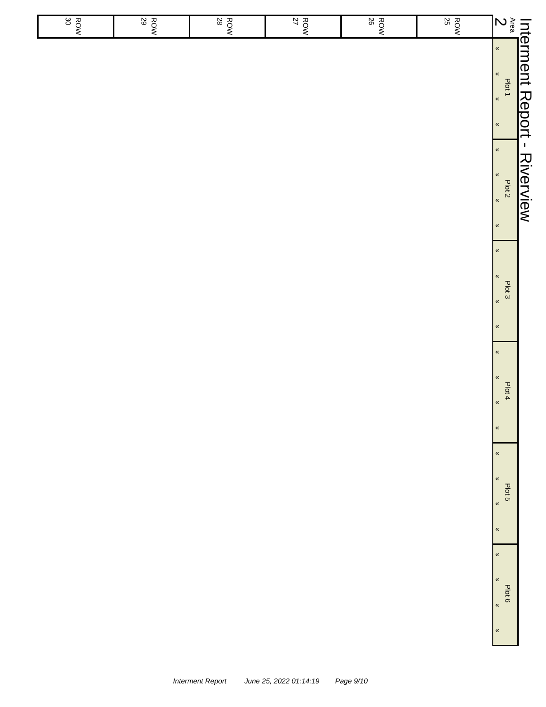|                  | Interment Report - Riverview<br><sup>Area</sup> salines and a serve server of the serve of the serve of the serve of the serve of the serve of the serve of the serve of the serve of the serve of the serve of the serve of the serve of |                |                                                                                |                                                                                      |                                                                                |
|------------------|-------------------------------------------------------------------------------------------------------------------------------------------------------------------------------------------------------------------------------------------|----------------|--------------------------------------------------------------------------------|--------------------------------------------------------------------------------------|--------------------------------------------------------------------------------|
|                  |                                                                                                                                                                                                                                           | $\pmb{\kappa}$ | $\pmb{\kappa}$<br>$\pmb{\kappa}$<br>Plot 3<br>$\pmb{\kappa}$<br>$\pmb{\kappa}$ | $\pmb{\kappa}$<br>$\pmb{\kappa}$<br>Plot 4<br>$\pmb{\kappa}$<br>$\pmb{\mathfrak{C}}$ | $\pmb{\kappa}$<br>$\pmb{\kappa}$<br>Plot 5<br>$\pmb{\kappa}$<br>$\pmb{\kappa}$ |
| 25<br>ROW        |                                                                                                                                                                                                                                           |                |                                                                                |                                                                                      |                                                                                |
| $\frac{ROW}{26}$ |                                                                                                                                                                                                                                           |                |                                                                                |                                                                                      |                                                                                |
| $\frac{ROW}{27}$ |                                                                                                                                                                                                                                           |                |                                                                                |                                                                                      |                                                                                |
| $\frac{ROW}{28}$ |                                                                                                                                                                                                                                           |                |                                                                                |                                                                                      |                                                                                |
| $\frac{ROW}{29}$ |                                                                                                                                                                                                                                           |                |                                                                                |                                                                                      |                                                                                |
| $\frac{ROW}{30}$ |                                                                                                                                                                                                                                           |                |                                                                                |                                                                                      |                                                                                |
|                  |                                                                                                                                                                                                                                           |                |                                                                                |                                                                                      |                                                                                |